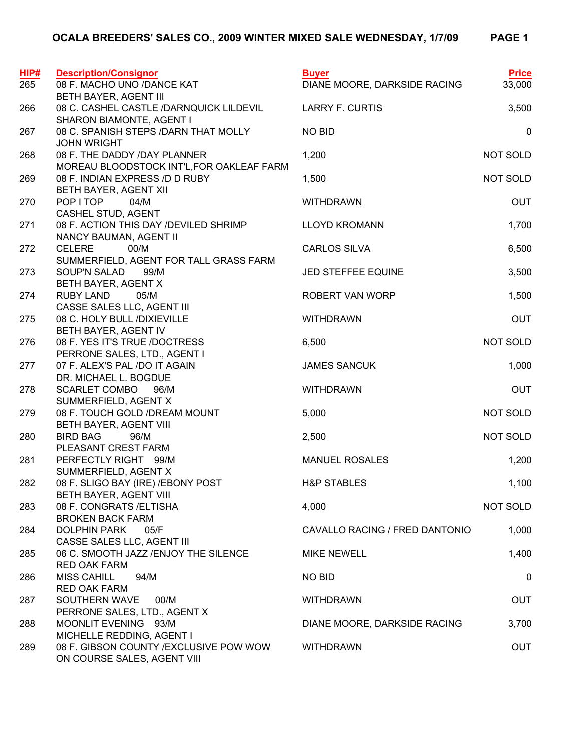| HIP# | <b>Description/Consignor</b>                                                | <b>Buyer</b>                   | <b>Price</b> |
|------|-----------------------------------------------------------------------------|--------------------------------|--------------|
| 265  | 08 F. MACHO UNO /DANCE KAT                                                  | DIANE MOORE, DARKSIDE RACING   | 33,000       |
|      | BETH BAYER, AGENT III                                                       |                                |              |
| 266  | 08 C. CASHEL CASTLE /DARNQUICK LILDEVIL                                     | <b>LARRY F. CURTIS</b>         | 3,500        |
|      | SHARON BIAMONTE, AGENT I                                                    |                                |              |
| 267  | 08 C. SPANISH STEPS /DARN THAT MOLLY<br><b>JOHN WRIGHT</b>                  | <b>NO BID</b>                  | $\pmb{0}$    |
| 268  | 08 F. THE DADDY /DAY PLANNER                                                | 1,200                          | NOT SOLD     |
| 269  | MOREAU BLOODSTOCK INT'L, FOR OAKLEAF FARM<br>08 F. INDIAN EXPRESS /D D RUBY | 1,500                          | NOT SOLD     |
|      | BETH BAYER, AGENT XII                                                       |                                |              |
| 270  | POP I TOP<br>04/M                                                           | <b>WITHDRAWN</b>               | <b>OUT</b>   |
|      | CASHEL STUD, AGENT                                                          |                                |              |
| 271  | 08 F. ACTION THIS DAY /DEVILED SHRIMP                                       | <b>LLOYD KROMANN</b>           | 1,700        |
|      | NANCY BAUMAN, AGENT II                                                      |                                |              |
| 272  | <b>CELERE</b><br>00/M                                                       | <b>CARLOS SILVA</b>            | 6,500        |
|      | SUMMERFIELD, AGENT FOR TALL GRASS FARM                                      |                                |              |
| 273  | SOUP'N SALAD 99/M                                                           | JED STEFFEE EQUINE             | 3,500        |
|      | BETH BAYER, AGENT X                                                         |                                |              |
| 274  | <b>RUBY LAND</b><br>05/M                                                    | ROBERT VAN WORP                | 1,500        |
|      | CASSE SALES LLC, AGENT III                                                  |                                |              |
| 275  | 08 C. HOLY BULL /DIXIEVILLE                                                 | <b>WITHDRAWN</b>               | <b>OUT</b>   |
|      | BETH BAYER, AGENT IV                                                        |                                |              |
| 276  | 08 F. YES IT'S TRUE /DOCTRESS                                               | 6,500                          | NOT SOLD     |
|      | PERRONE SALES, LTD., AGENT I                                                |                                |              |
| 277  | 07 F. ALEX'S PAL /DO IT AGAIN                                               | <b>JAMES SANCUK</b>            | 1,000        |
|      | DR. MICHAEL L. BOGDUE                                                       |                                |              |
| 278  | <b>SCARLET COMBO</b><br>96/M                                                | <b>WITHDRAWN</b>               | <b>OUT</b>   |
|      | SUMMERFIELD, AGENT X                                                        |                                |              |
| 279  | 08 F. TOUCH GOLD / DREAM MOUNT                                              | 5,000                          | NOT SOLD     |
| 280  | BETH BAYER, AGENT VIII                                                      |                                | NOT SOLD     |
|      | <b>BIRD BAG</b><br>96/M<br>PLEASANT CREST FARM                              | 2,500                          |              |
| 281  | PERFECTLY RIGHT 99/M                                                        | <b>MANUEL ROSALES</b>          | 1,200        |
|      | SUMMERFIELD, AGENT X                                                        |                                |              |
| 282  | 08 F. SLIGO BAY (IRE) / EBONY POST                                          | <b>H&amp;P STABLES</b>         | 1,100        |
|      | BETH BAYER, AGENT VIII                                                      |                                |              |
| 283  | 08 F. CONGRATS / ELTISHA                                                    | 4,000                          | NOT SOLD     |
|      | <b>BROKEN BACK FARM</b>                                                     |                                |              |
| 284  | <b>DOLPHIN PARK</b><br>05/F                                                 | CAVALLO RACING / FRED DANTONIO | 1,000        |
|      | CASSE SALES LLC, AGENT III                                                  |                                |              |
| 285  | 06 C. SMOOTH JAZZ / ENJOY THE SILENCE                                       | <b>MIKE NEWELL</b>             | 1,400        |
|      | <b>RED OAK FARM</b>                                                         |                                |              |
| 286  | <b>MISS CAHILL</b><br>94/M                                                  | <b>NO BID</b>                  | 0            |
|      | <b>RED OAK FARM</b>                                                         |                                |              |
| 287  | SOUTHERN WAVE<br>00/M                                                       | <b>WITHDRAWN</b>               | <b>OUT</b>   |
|      | PERRONE SALES, LTD., AGENT X                                                |                                |              |
| 288  | MOONLIT EVENING 93/M                                                        | DIANE MOORE, DARKSIDE RACING   | 3,700        |
|      | MICHELLE REDDING, AGENT I                                                   |                                |              |
| 289  | 08 F. GIBSON COUNTY / EXCLUSIVE POW WOW<br>ON COURSE SALES, AGENT VIII      | <b>WITHDRAWN</b>               | <b>OUT</b>   |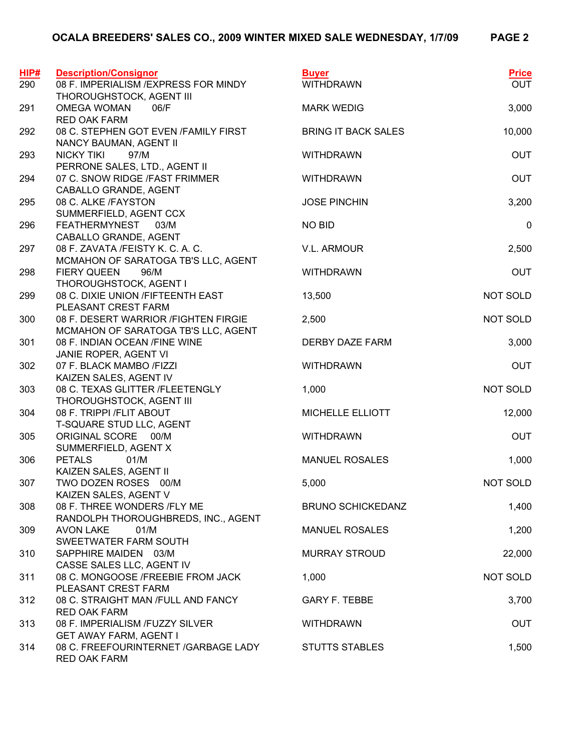|--|--|--|--|--|

| HIP# | <b>Description/Consignor</b>                                                                  | <b>Buyer</b>               | <b>Price</b><br><b>OUT</b> |
|------|-----------------------------------------------------------------------------------------------|----------------------------|----------------------------|
| 290  | 08 F. IMPERIALISM / EXPRESS FOR MINDY<br>THOROUGHSTOCK, AGENT III                             | <b>WITHDRAWN</b>           |                            |
| 291  | <b>OMEGA WOMAN</b><br>06/F                                                                    | <b>MARK WEDIG</b>          | 3,000                      |
|      | <b>RED OAK FARM</b>                                                                           |                            |                            |
| 292  | 08 C. STEPHEN GOT EVEN /FAMILY FIRST<br>NANCY BAUMAN, AGENT II                                | <b>BRING IT BACK SALES</b> | 10,000                     |
| 293  | <b>NICKY TIKI</b><br>97/M<br>PERRONE SALES, LTD., AGENT II                                    | <b>WITHDRAWN</b>           | <b>OUT</b>                 |
| 294  | 07 C. SNOW RIDGE /FAST FRIMMER<br>CABALLO GRANDE, AGENT                                       | <b>WITHDRAWN</b>           | <b>OUT</b>                 |
| 295  | 08 C. ALKE /FAYSTON<br>SUMMERFIELD, AGENT CCX                                                 | <b>JOSE PINCHIN</b>        | 3,200                      |
| 296  | <b>FEATHERMYNEST</b><br>03/M<br>CABALLO GRANDE, AGENT                                         | <b>NO BID</b>              | $\mathbf 0$                |
| 297  | 08 F. ZAVATA /FEISTY K. C. A. C.<br>MCMAHON OF SARATOGA TB'S LLC, AGENT                       | V.L. ARMOUR                | 2,500                      |
| 298  | <b>FIERY QUEEN</b><br>96/M                                                                    | <b>WITHDRAWN</b>           | <b>OUT</b>                 |
| 299  | THOROUGHSTOCK, AGENT I<br>08 C. DIXIE UNION /FIFTEENTH EAST                                   | 13,500                     | NOT SOLD                   |
| 300  | PLEASANT CREST FARM<br>08 F. DESERT WARRIOR / FIGHTEN FIRGIE                                  | 2,500                      | NOT SOLD                   |
| 301  | MCMAHON OF SARATOGA TB'S LLC, AGENT<br>08 F. INDIAN OCEAN / FINE WINE                         | DERBY DAZE FARM            | 3,000                      |
| 302  | JANIE ROPER, AGENT VI<br>07 F. BLACK MAMBO /FIZZI                                             | <b>WITHDRAWN</b>           | <b>OUT</b>                 |
| 303  | KAIZEN SALES, AGENT IV<br>08 C. TEXAS GLITTER /FLEETENGLY                                     | 1,000                      | NOT SOLD                   |
| 304  | THOROUGHSTOCK, AGENT III<br>08 F. TRIPPI / FLIT ABOUT                                         | MICHELLE ELLIOTT           | 12,000                     |
| 305  | T-SQUARE STUD LLC, AGENT<br>ORIGINAL SCORE 00/M                                               | <b>WITHDRAWN</b>           | <b>OUT</b>                 |
|      | SUMMERFIELD, AGENT X                                                                          |                            |                            |
| 306  | <b>PETALS</b><br>01/M<br>KAIZEN SALES, AGENT II                                               | <b>MANUEL ROSALES</b>      | 1,000                      |
| 307  | TWO DOZEN ROSES 00/M<br>KAIZEN SALES, AGENT V                                                 | 5,000                      | NOT SOLD                   |
| 308  | 08 F. THREE WONDERS /FLY ME<br>RANDOLPH THOROUGHBREDS, INC., AGENT                            | <b>BRUNO SCHICKEDANZ</b>   | 1,400                      |
| 309  | <b>AVON LAKE</b><br>01/M<br>SWEETWATER FARM SOUTH                                             | <b>MANUEL ROSALES</b>      | 1,200                      |
| 310  | SAPPHIRE MAIDEN 03/M                                                                          | <b>MURRAY STROUD</b>       | 22,000                     |
| 311  | CASSE SALES LLC, AGENT IV<br>08 C. MONGOOSE /FREEBIE FROM JACK                                | 1,000                      | NOT SOLD                   |
| 312  | PLEASANT CREST FARM<br>08 C. STRAIGHT MAN /FULL AND FANCY                                     | <b>GARY F. TEBBE</b>       | 3,700                      |
| 313  | <b>RED OAK FARM</b><br>08 F. IMPERIALISM /FUZZY SILVER                                        | <b>WITHDRAWN</b>           | <b>OUT</b>                 |
| 314  | <b>GET AWAY FARM, AGENT I</b><br>08 C. FREEFOURINTERNET / GARBAGE LADY<br><b>RED OAK FARM</b> | <b>STUTTS STABLES</b>      | 1,500                      |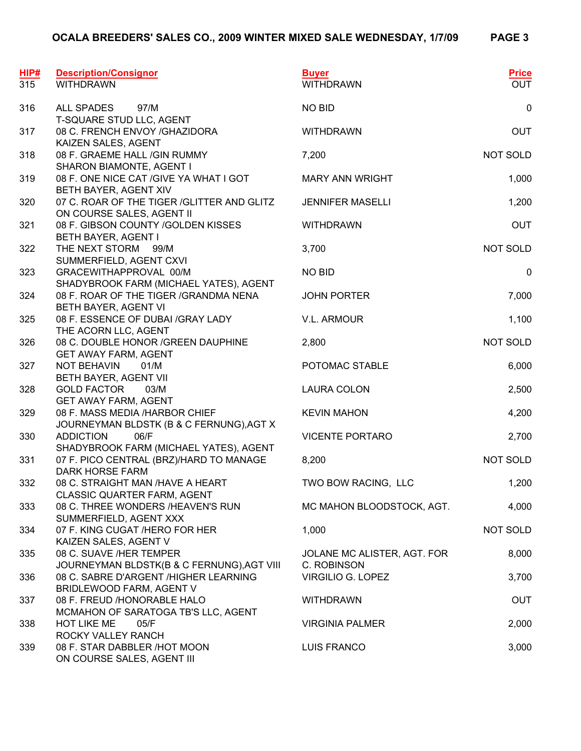| HIP#<br>315 | <b>Description/Consignor</b><br><b>WITHDRAWN</b>                           | <b>Buyer</b><br><b>WITHDRAWN</b>           | <b>Price</b><br><b>OUT</b> |
|-------------|----------------------------------------------------------------------------|--------------------------------------------|----------------------------|
| 316         | ALL SPADES<br>97/M<br>T-SQUARE STUD LLC, AGENT                             | <b>NO BID</b>                              | $\pmb{0}$                  |
| 317         | 08 C. FRENCH ENVOY /GHAZIDORA<br>KAIZEN SALES, AGENT                       | <b>WITHDRAWN</b>                           | <b>OUT</b>                 |
| 318         | 08 F. GRAEME HALL / GIN RUMMY<br>SHARON BIAMONTE, AGENT I                  | 7,200                                      | NOT SOLD                   |
| 319         | 08 F. ONE NICE CAT / GIVE YA WHAT I GOT<br>BETH BAYER, AGENT XIV           | <b>MARY ANN WRIGHT</b>                     | 1,000                      |
| 320         | 07 C. ROAR OF THE TIGER / GLITTER AND GLITZ<br>ON COURSE SALES, AGENT II   | <b>JENNIFER MASELLI</b>                    | 1,200                      |
| 321         | 08 F. GIBSON COUNTY / GOLDEN KISSES<br>BETH BAYER, AGENT I                 | <b>WITHDRAWN</b>                           | <b>OUT</b>                 |
| 322         | THE NEXT STORM<br>99/M<br>SUMMERFIELD, AGENT CXVI                          | 3,700                                      | NOT SOLD                   |
| 323         | GRACEWITHAPPROVAL 00/M<br>SHADYBROOK FARM (MICHAEL YATES), AGENT           | <b>NO BID</b>                              | $\boldsymbol{0}$           |
| 324         | 08 F. ROAR OF THE TIGER / GRANDMA NENA<br>BETH BAYER, AGENT VI             | <b>JOHN PORTER</b>                         | 7,000                      |
| 325         | 08 F. ESSENCE OF DUBAI /GRAY LADY<br>THE ACORN LLC, AGENT                  | V.L. ARMOUR                                | 1,100                      |
| 326         | 08 C. DOUBLE HONOR / GREEN DAUPHINE<br><b>GET AWAY FARM, AGENT</b>         | 2,800                                      | NOT SOLD                   |
| 327         | <b>NOT BEHAVIN</b><br>01/M<br>BETH BAYER, AGENT VII                        | POTOMAC STABLE                             | 6,000                      |
| 328         | <b>GOLD FACTOR</b><br>03/M<br><b>GET AWAY FARM, AGENT</b>                  | <b>LAURA COLON</b>                         | 2,500                      |
| 329         | 08 F. MASS MEDIA /HARBOR CHIEF<br>JOURNEYMAN BLDSTK (B & C FERNUNG), AGT X | <b>KEVIN MAHON</b>                         | 4,200                      |
| 330         | 06/F<br><b>ADDICTION</b><br>SHADYBROOK FARM (MICHAEL YATES), AGENT         | <b>VICENTE PORTARO</b>                     | 2,700                      |
| 331         | 07 F. PICO CENTRAL (BRZ)/HARD TO MANAGE<br><b>DARK HORSE FARM</b>          | 8,200                                      | NOT SOLD                   |
| 332         | 08 C. STRAIGHT MAN /HAVE A HEART<br>CLASSIC QUARTER FARM, AGENT            | TWO BOW RACING, LLC                        | 1,200                      |
| 333         | 08 C. THREE WONDERS /HEAVEN'S RUN<br>SUMMERFIELD, AGENT XXX                | MC MAHON BLOODSTOCK, AGT.                  | 4,000                      |
| 334         | 07 F. KING CUGAT /HERO FOR HER<br>KAIZEN SALES, AGENT V                    | 1,000                                      | NOT SOLD                   |
| 335         | 08 C. SUAVE /HER TEMPER<br>JOURNEYMAN BLDSTK(B & C FERNUNG), AGT VIII      | JOLANE MC ALISTER, AGT. FOR<br>C. ROBINSON | 8,000                      |
| 336         | 08 C. SABRE D'ARGENT /HIGHER LEARNING<br>BRIDLEWOOD FARM, AGENT V          | VIRGILIO G. LOPEZ                          | 3,700                      |
| 337         | 08 F. FREUD /HONORABLE HALO<br>MCMAHON OF SARATOGA TB'S LLC, AGENT         | <b>WITHDRAWN</b>                           | <b>OUT</b>                 |
| 338         | <b>HOT LIKE ME</b><br>05/F<br>ROCKY VALLEY RANCH                           | <b>VIRGINIA PALMER</b>                     | 2,000                      |
| 339         | 08 F. STAR DABBLER /HOT MOON<br>ON COURSE SALES, AGENT III                 | <b>LUIS FRANCO</b>                         | 3,000                      |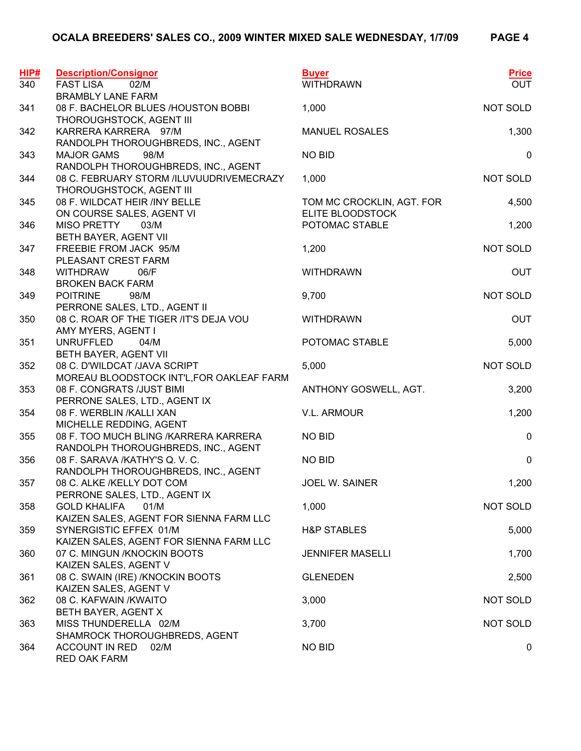| HIP#<br>340 | <b>Description/Consignor</b><br><b>FAST LISA</b><br>02/M                       | <b>Buyer</b><br><b>WITHDRAWN</b>   | <b>Price</b><br><b>OUT</b> |
|-------------|--------------------------------------------------------------------------------|------------------------------------|----------------------------|
|             | <b>BRAMBLY LANE FARM</b>                                                       |                                    |                            |
| 341         | 08 F. BACHELOR BLUES /HOUSTON BOBBI<br>THOROUGHSTOCK, AGENT III                | 1,000                              | NOT SOLD                   |
| 342         | KARRERA KARRERA 97/M<br>RANDOLPH THOROUGHBREDS, INC., AGENT                    | <b>MANUEL ROSALES</b>              | 1,300                      |
| 343         | <b>MAJOR GAMS</b><br>98/M<br>RANDOLPH THOROUGHBREDS, INC., AGENT               | <b>NO BID</b>                      | $\mathbf 0$                |
| 344         | 08 C. FEBRUARY STORM /ILUVUUDRIVEMECRAZY<br>THOROUGHSTOCK, AGENT III           | 1,000                              | NOT SOLD                   |
| 345         | 08 F. WILDCAT HEIR /INY BELLE                                                  | TOM MC CROCKLIN, AGT. FOR          | 4,500                      |
| 346         | ON COURSE SALES, AGENT VI<br><b>MISO PRETTY</b><br>03/M                        | ELITE BLOODSTOCK<br>POTOMAC STABLE | 1,200                      |
| 347         | BETH BAYER, AGENT VII<br>FREEBIE FROM JACK 95/M                                | 1,200                              | <b>NOT SOLD</b>            |
| 348         | PLEASANT CREST FARM<br><b>WITHDRAW</b><br>06/F                                 | <b>WITHDRAWN</b>                   | <b>OUT</b>                 |
| 349         | <b>BROKEN BACK FARM</b><br><b>POITRINE</b><br>98/M                             | 9,700                              | NOT SOLD                   |
|             | PERRONE SALES, LTD., AGENT II                                                  |                                    |                            |
| 350         | 08 C. ROAR OF THE TIGER /IT'S DEJA VOU<br>AMY MYERS, AGENT I                   | <b>WITHDRAWN</b>                   | <b>OUT</b>                 |
| 351         | <b>UNRUFFLED</b><br>04/M<br>BETH BAYER, AGENT VII                              | POTOMAC STABLE                     | 5,000                      |
| 352         | 08 C. D'WILDCAT /JAVA SCRIPT                                                   | 5,000                              | NOT SOLD                   |
| 353         | MOREAU BLOODSTOCK INT'L, FOR OAKLEAF FARM<br>08 F. CONGRATS /JUST BIMI         | ANTHONY GOSWELL, AGT.              | 3,200                      |
| 354         | PERRONE SALES, LTD., AGENT IX<br>08 F. WERBLIN /KALLI XAN                      | V.L. ARMOUR                        | 1,200                      |
| 355         | MICHELLE REDDING, AGENT<br>08 F. TOO MUCH BLING /KARRERA KARRERA               | <b>NO BID</b>                      | $\mathbf 0$                |
| 356         | RANDOLPH THOROUGHBREDS, INC., AGENT<br>08 F. SARAVA /KATHY'S Q. V. C.          | <b>NO BID</b>                      | $\pmb{0}$                  |
|             | RANDOLPH THOROUGHBREDS, INC., AGENT                                            |                                    |                            |
| 357         | 08 C. ALKE /KELLY DOT COM<br>PERRONE SALES, LTD., AGENT IX                     | JOEL W. SAINER                     | 1,200                      |
| 358         | <b>GOLD KHALIFA</b><br>01/M<br>KAIZEN SALES, AGENT FOR SIENNA FARM LLC         | 1,000                              | NOT SOLD                   |
| 359         | SYNERGISTIC EFFEX 01/M<br>KAIZEN SALES, AGENT FOR SIENNA FARM LLC              | <b>H&amp;P STABLES</b>             | 5,000                      |
| 360         | 07 C. MINGUN /KNOCKIN BOOTS                                                    | <b>JENNIFER MASELLI</b>            | 1,700                      |
| 361         | KAIZEN SALES, AGENT V<br>08 C. SWAIN (IRE) /KNOCKIN BOOTS                      | <b>GLENEDEN</b>                    | 2,500                      |
| 362         | KAIZEN SALES, AGENT V<br>08 C. KAFWAIN / KWAITO                                | 3,000                              | NOT SOLD                   |
| 363         | BETH BAYER, AGENT X<br>MISS THUNDERELLA 02/M                                   | 3,700                              | NOT SOLD                   |
| 364         | SHAMROCK THOROUGHBREDS, AGENT<br><b>ACCOUNT IN RED</b><br>02/M<br>RED OAK FARM | <b>NO BID</b>                      | 0                          |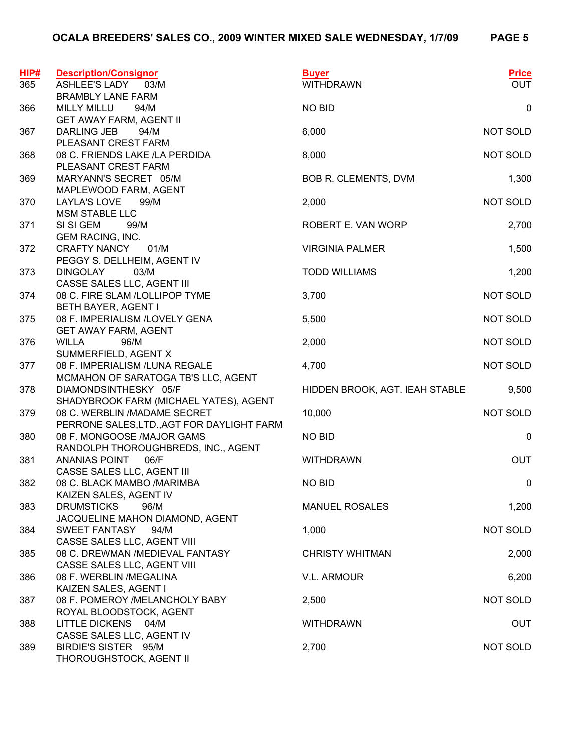| HIP#<br>365 | <b>Description/Consignor</b><br><b>ASHLEE'S LADY</b><br>03/M | <b>Buyer</b><br><b>WITHDRAWN</b> | <b>Price</b><br><b>OUT</b> |
|-------------|--------------------------------------------------------------|----------------------------------|----------------------------|
|             | <b>BRAMBLY LANE FARM</b>                                     |                                  |                            |
| 366         | <b>MILLY MILLU</b><br>94/M                                   | <b>NO BID</b>                    | $\mathsf 0$                |
|             | <b>GET AWAY FARM, AGENT II</b>                               |                                  |                            |
| 367         | DARLING JEB<br>94/M                                          | 6,000                            | <b>NOT SOLD</b>            |
|             | PLEASANT CREST FARM                                          |                                  |                            |
| 368         | 08 C. FRIENDS LAKE /LA PERDIDA                               | 8,000                            | NOT SOLD                   |
|             | PLEASANT CREST FARM                                          |                                  |                            |
| 369         | MARYANN'S SECRET 05/M                                        | BOB R. CLEMENTS, DVM             | 1,300                      |
|             | MAPLEWOOD FARM, AGENT                                        |                                  |                            |
| 370         | <b>LAYLA'S LOVE</b><br>99/M                                  | 2,000                            | NOT SOLD                   |
| 371         | <b>MSM STABLE LLC</b><br>SI SI GEM<br>99/M                   | ROBERT E. VAN WORP               | 2,700                      |
|             | <b>GEM RACING, INC.</b>                                      |                                  |                            |
| 372         | <b>CRAFTY NANCY</b><br>01/M                                  | <b>VIRGINIA PALMER</b>           | 1,500                      |
|             | PEGGY S. DELLHEIM, AGENT IV                                  |                                  |                            |
| 373         | <b>DINGOLAY</b><br>03/M                                      | <b>TODD WILLIAMS</b>             | 1,200                      |
|             | CASSE SALES LLC, AGENT III                                   |                                  |                            |
| 374         | 08 C. FIRE SLAM /LOLLIPOP TYME                               | 3,700                            | NOT SOLD                   |
|             | BETH BAYER, AGENT I                                          |                                  |                            |
| 375         | 08 F. IMPERIALISM /LOVELY GENA                               | 5,500                            | NOT SOLD                   |
|             | <b>GET AWAY FARM, AGENT</b>                                  |                                  |                            |
| 376         | <b>WILLA</b><br>96/M                                         | 2,000                            | NOT SOLD                   |
|             | SUMMERFIELD, AGENT X                                         |                                  |                            |
| 377         | 08 F. IMPERIALISM / LUNA REGALE                              | 4,700                            | <b>NOT SOLD</b>            |
|             | MCMAHON OF SARATOGA TB'S LLC, AGENT                          |                                  |                            |
| 378         | DIAMONDSINTHESKY 05/F                                        | HIDDEN BROOK, AGT. IEAH STABLE   | 9,500                      |
|             | SHADYBROOK FARM (MICHAEL YATES), AGENT                       |                                  |                            |
| 379         | 08 C. WERBLIN /MADAME SECRET                                 | 10,000                           | <b>NOT SOLD</b>            |
|             | PERRONE SALES, LTD., AGT FOR DAYLIGHT FARM                   |                                  |                            |
| 380         | 08 F. MONGOOSE /MAJOR GAMS                                   | <b>NO BID</b>                    | 0                          |
| 381         | RANDOLPH THOROUGHBREDS, INC., AGENT<br>ANANIAS POINT<br>06/F | <b>WITHDRAWN</b>                 | OUT                        |
|             | CASSE SALES LLC, AGENT III                                   |                                  |                            |
| 382         | 08 C. BLACK MAMBO /MARIMBA                                   | <b>NO BID</b>                    | $\mathbf 0$                |
|             | KAIZEN SALES, AGENT IV                                       |                                  |                            |
| 383         | <b>DRUMSTICKS</b><br>96/M                                    | <b>MANUEL ROSALES</b>            | 1,200                      |
|             | JACQUELINE MAHON DIAMOND, AGENT                              |                                  |                            |
| 384         | SWEET FANTASY<br>94/M                                        | 1,000                            | NOT SOLD                   |
|             | CASSE SALES LLC, AGENT VIII                                  |                                  |                            |
| 385         | 08 C. DREWMAN /MEDIEVAL FANTASY                              | <b>CHRISTY WHITMAN</b>           | 2,000                      |
|             | CASSE SALES LLC, AGENT VIII                                  |                                  |                            |
| 386         | 08 F. WERBLIN /MEGALINA                                      | <b>V.L. ARMOUR</b>               | 6,200                      |
|             | KAIZEN SALES, AGENT I                                        |                                  |                            |
| 387         | 08 F. POMEROY /MELANCHOLY BABY                               | 2,500                            | <b>NOT SOLD</b>            |
|             | ROYAL BLOODSTOCK, AGENT                                      |                                  |                            |
| 388         | LITTLE DICKENS 04/M                                          | <b>WITHDRAWN</b>                 | <b>OUT</b>                 |
| 389         | CASSE SALES LLC, AGENT IV<br>BIRDIE'S SISTER 95/M            |                                  | <b>NOT SOLD</b>            |
|             | THOROUGHSTOCK, AGENT II                                      | 2,700                            |                            |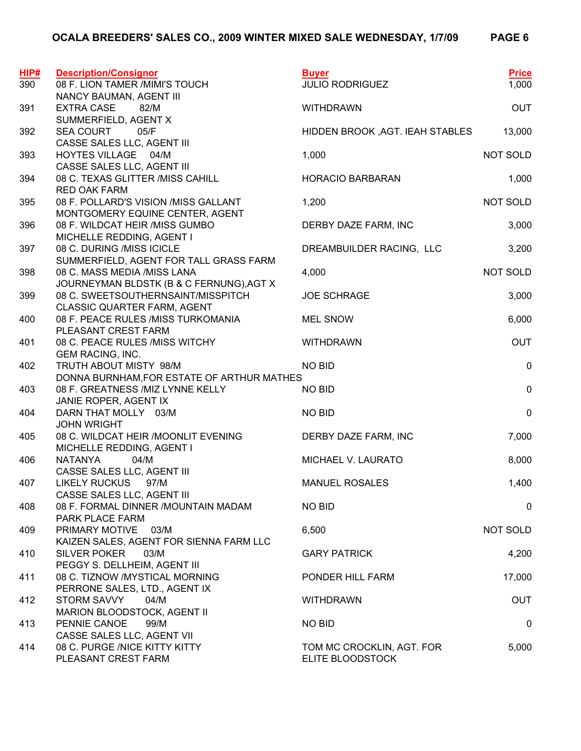| HIP# | <b>Description/Consignor</b>                                    | <b>Buyer</b>                    | <b>Price</b> |
|------|-----------------------------------------------------------------|---------------------------------|--------------|
| 390  | 08 F. LION TAMER /MIMI'S TOUCH                                  | <b>JULIO RODRIGUEZ</b>          | 1,000        |
|      | NANCY BAUMAN, AGENT III                                         |                                 |              |
| 391  | <b>EXTRA CASE</b><br>82/M                                       | <b>WITHDRAWN</b>                | <b>OUT</b>   |
|      | SUMMERFIELD, AGENT X                                            |                                 |              |
| 392  | <b>SEA COURT</b><br>05/F                                        | HIDDEN BROOK, AGT. IEAH STABLES | 13,000       |
|      | CASSE SALES LLC, AGENT III                                      |                                 |              |
| 393  | HOYTES VILLAGE 04/M                                             | 1,000                           | NOT SOLD     |
| 394  | CASSE SALES LLC, AGENT III<br>08 C. TEXAS GLITTER / MISS CAHILL | <b>HORACIO BARBARAN</b>         |              |
|      | <b>RED OAK FARM</b>                                             |                                 | 1,000        |
| 395  | 08 F. POLLARD'S VISION /MISS GALLANT                            | 1,200                           | NOT SOLD     |
|      | MONTGOMERY EQUINE CENTER, AGENT                                 |                                 |              |
| 396  | 08 F. WILDCAT HEIR /MISS GUMBO                                  | DERBY DAZE FARM, INC            | 3,000        |
|      | MICHELLE REDDING, AGENT I                                       |                                 |              |
| 397  | 08 C. DURING /MISS ICICLE                                       | DREAMBUILDER RACING, LLC        | 3,200        |
|      | SUMMERFIELD, AGENT FOR TALL GRASS FARM                          |                                 |              |
| 398  | 08 C. MASS MEDIA /MISS LANA                                     | 4,000                           | NOT SOLD     |
|      | JOURNEYMAN BLDSTK (B & C FERNUNG), AGT X                        |                                 |              |
| 399  | 08 C. SWEETSOUTHERNSAINT/MISSPITCH                              | <b>JOE SCHRAGE</b>              | 3,000        |
|      | <b>CLASSIC QUARTER FARM, AGENT</b>                              |                                 |              |
| 400  | 08 F. PEACE RULES /MISS TURKOMANIA                              | <b>MEL SNOW</b>                 | 6,000        |
|      | PLEASANT CREST FARM                                             |                                 |              |
| 401  | 08 C. PEACE RULES / MISS WITCHY                                 | <b>WITHDRAWN</b>                | <b>OUT</b>   |
| 402  | <b>GEM RACING, INC.</b><br>TRUTH ABOUT MISTY 98/M               | <b>NO BID</b>                   | $\pmb{0}$    |
|      | DONNA BURNHAM, FOR ESTATE OF ARTHUR MATHES                      |                                 |              |
| 403  | 08 F. GREATNESS /MIZ LYNNE KELLY                                | <b>NO BID</b>                   | $\pmb{0}$    |
|      | JANIE ROPER, AGENT IX                                           |                                 |              |
| 404  | DARN THAT MOLLY 03/M                                            | <b>NO BID</b>                   | $\pmb{0}$    |
|      | <b>JOHN WRIGHT</b>                                              |                                 |              |
| 405  | 08 C. WILDCAT HEIR /MOONLIT EVENING                             | DERBY DAZE FARM, INC            | 7,000        |
|      | MICHELLE REDDING, AGENT I                                       |                                 |              |
| 406  | <b>NATANYA</b><br>04/M                                          | MICHAEL V. LAURATO              | 8,000        |
|      | CASSE SALES LLC, AGENT III                                      |                                 |              |
| 407  | <b>LIKELY RUCKUS</b><br>97/M                                    | <b>MANUEL ROSALES</b>           | 1,400        |
|      | CASSE SALES LLC, AGENT III                                      |                                 |              |
| 408  | 08 F. FORMAL DINNER /MOUNTAIN MADAM<br>PARK PLACE FARM          | <b>NO BID</b>                   | 0            |
|      | PRIMARY MOTIVE<br>03/M                                          |                                 | NOT SOLD     |
| 409  | KAIZEN SALES, AGENT FOR SIENNA FARM LLC                         | 6,500                           |              |
| 410  | <b>SILVER POKER</b><br>03/M                                     | <b>GARY PATRICK</b>             | 4,200        |
|      | PEGGY S. DELLHEIM, AGENT III                                    |                                 |              |
| 411  | 08 C. TIZNOW /MYSTICAL MORNING                                  | PONDER HILL FARM                | 17,000       |
|      | PERRONE SALES, LTD., AGENT IX                                   |                                 |              |
| 412  | STORM SAVVY<br>04/M                                             | <b>WITHDRAWN</b>                | <b>OUT</b>   |
|      | MARION BLOODSTOCK, AGENT II                                     |                                 |              |
| 413  | PENNIE CANOE<br>99/M                                            | <b>NO BID</b>                   | 0            |
|      | CASSE SALES LLC, AGENT VII                                      |                                 |              |
| 414  | 08 C. PURGE /NICE KITTY KITTY                                   | TOM MC CROCKLIN, AGT. FOR       | 5,000        |
|      | PLEASANT CREST FARM                                             | ELITE BLOODSTOCK                |              |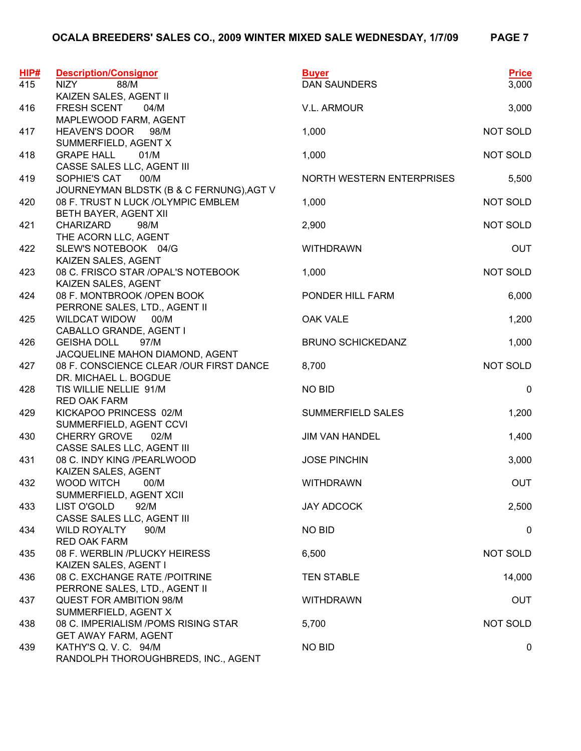| HIP#<br>415 | <b>Description/Consignor</b><br>88/M<br><b>NIZY</b>          | <b>Buyer</b><br><b>DAN SAUNDERS</b> | <b>Price</b><br>3,000 |
|-------------|--------------------------------------------------------------|-------------------------------------|-----------------------|
|             | KAIZEN SALES, AGENT II                                       |                                     |                       |
| 416         | FRESH SCENT<br>04/M                                          | V.L. ARMOUR                         | 3,000                 |
|             | MAPLEWOOD FARM, AGENT                                        |                                     |                       |
| 417         | <b>HEAVEN'S DOOR</b><br>98/M                                 | 1,000                               | NOT SOLD              |
|             | SUMMERFIELD, AGENT X                                         |                                     |                       |
| 418         | <b>GRAPE HALL</b><br>01/M                                    | 1,000                               | NOT SOLD              |
|             | CASSE SALES LLC, AGENT III                                   |                                     |                       |
| 419         | SOPHIE'S CAT<br>00/M                                         | NORTH WESTERN ENTERPRISES           | 5,500                 |
|             | JOURNEYMAN BLDSTK (B & C FERNUNG), AGT V                     |                                     |                       |
| 420         | 08 F. TRUST N LUCK / OLYMPIC EMBLEM                          | 1,000                               | NOT SOLD              |
|             | BETH BAYER, AGENT XII                                        |                                     |                       |
| 421         | <b>CHARIZARD</b><br>98/M                                     | 2,900                               | NOT SOLD              |
| 422         | THE ACORN LLC, AGENT<br>SLEW'S NOTEBOOK 04/G                 | <b>WITHDRAWN</b>                    | <b>OUT</b>            |
|             | KAIZEN SALES, AGENT                                          |                                     |                       |
| 423         | 08 C. FRISCO STAR / OPAL'S NOTEBOOK                          | 1,000                               | NOT SOLD              |
|             | KAIZEN SALES, AGENT                                          |                                     |                       |
| 424         | 08 F. MONTBROOK / OPEN BOOK                                  | PONDER HILL FARM                    | 6,000                 |
|             | PERRONE SALES, LTD., AGENT II                                |                                     |                       |
| 425         | <b>WILDCAT WIDOW</b><br>00/M                                 | <b>OAK VALE</b>                     | 1,200                 |
|             | CABALLO GRANDE, AGENT I                                      |                                     |                       |
| 426         | <b>GEISHA DOLL</b><br>97/M                                   | <b>BRUNO SCHICKEDANZ</b>            | 1,000                 |
|             | JACQUELINE MAHON DIAMOND, AGENT                              |                                     |                       |
| 427         | 08 F. CONSCIENCE CLEAR / OUR FIRST DANCE                     | 8,700                               | NOT SOLD              |
|             | DR. MICHAEL L. BOGDUE                                        |                                     |                       |
| 428         | TIS WILLIE NELLIE 91/M                                       | <b>NO BID</b>                       | $\pmb{0}$             |
|             | <b>RED OAK FARM</b>                                          |                                     |                       |
| 429         | KICKAPOO PRINCESS 02/M                                       | <b>SUMMERFIELD SALES</b>            | 1,200                 |
|             | SUMMERFIELD, AGENT CCVI                                      |                                     |                       |
| 430         | <b>CHERRY GROVE</b><br>02/M                                  | <b>JIM VAN HANDEL</b>               | 1,400                 |
|             | CASSE SALES LLC, AGENT III                                   |                                     |                       |
| 431         | 08 C. INDY KING /PEARLWOOD                                   | <b>JOSE PINCHIN</b>                 | 3,000                 |
| 432         | KAIZEN SALES, AGENT<br>WOOD WITCH<br>00/M                    | <b>WITHDRAWN</b>                    | <b>OUT</b>            |
|             | SUMMERFIELD, AGENT XCII                                      |                                     |                       |
| 433         | LIST O'GOLD<br>92/M                                          | JAY ADCOCK                          | 2,500                 |
|             | CASSE SALES LLC, AGENT III                                   |                                     |                       |
| 434         | WILD ROYALTY<br>90/M                                         | <b>NO BID</b>                       | 0                     |
|             | <b>RED OAK FARM</b>                                          |                                     |                       |
| 435         | 08 F. WERBLIN /PLUCKY HEIRESS                                | 6,500                               | NOT SOLD              |
|             | KAIZEN SALES, AGENT I                                        |                                     |                       |
| 436         | 08 C. EXCHANGE RATE /POITRINE                                | <b>TEN STABLE</b>                   | 14,000                |
|             | PERRONE SALES, LTD., AGENT II                                |                                     |                       |
| 437         | <b>QUEST FOR AMBITION 98/M</b>                               | <b>WITHDRAWN</b>                    | <b>OUT</b>            |
|             | SUMMERFIELD, AGENT X                                         |                                     |                       |
| 438         | 08 C. IMPERIALISM / POMS RISING STAR                         | 5,700                               | NOT SOLD              |
|             | <b>GET AWAY FARM, AGENT</b>                                  |                                     |                       |
| 439         | KATHY'S Q. V. C. 94/M<br>RANDOLPH THOROUGHBREDS, INC., AGENT | <b>NO BID</b>                       | 0                     |
|             |                                                              |                                     |                       |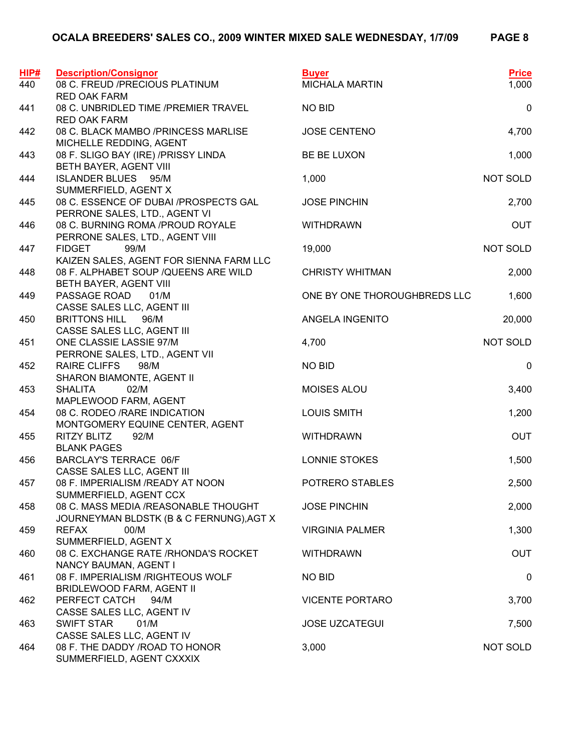| HIP#<br>440 | <b>Description/Consignor</b><br>08 C. FREUD /PRECIOUS PLATINUM                            | <b>Buyer</b><br><b>MICHALA MARTIN</b> | <b>Price</b><br>1,000 |
|-------------|-------------------------------------------------------------------------------------------|---------------------------------------|-----------------------|
| 441         | <b>RED OAK FARM</b><br>08 C. UNBRIDLED TIME / PREMIER TRAVEL<br><b>RED OAK FARM</b>       | <b>NO BID</b>                         | $\mathbf 0$           |
| 442         | 08 C. BLACK MAMBO /PRINCESS MARLISE<br>MICHELLE REDDING, AGENT                            | <b>JOSE CENTENO</b>                   | 4,700                 |
| 443         | 08 F. SLIGO BAY (IRE) /PRISSY LINDA<br>BETH BAYER, AGENT VIII                             | BE BE LUXON                           | 1,000                 |
| 444         | <b>ISLANDER BLUES 95/M</b><br>SUMMERFIELD, AGENT X                                        | 1,000                                 | NOT SOLD              |
| 445         | 08 C. ESSENCE OF DUBAI /PROSPECTS GAL<br>PERRONE SALES, LTD., AGENT VI                    | <b>JOSE PINCHIN</b>                   | 2,700                 |
| 446         | 08 C. BURNING ROMA /PROUD ROYALE<br>PERRONE SALES, LTD., AGENT VIII                       | <b>WITHDRAWN</b>                      | <b>OUT</b>            |
| 447         | <b>FIDGET</b><br>99/M<br>KAIZEN SALES, AGENT FOR SIENNA FARM LLC                          | 19,000                                | NOT SOLD              |
| 448         | 08 F. ALPHABET SOUP / QUEENS ARE WILD<br>BETH BAYER, AGENT VIII                           | <b>CHRISTY WHITMAN</b>                | 2,000                 |
| 449         | PASSAGE ROAD<br>01/M<br>CASSE SALES LLC, AGENT III                                        | ONE BY ONE THOROUGHBREDS LLC          | 1,600                 |
| 450         | <b>BRITTONS HILL</b><br>96/M<br>CASSE SALES LLC, AGENT III                                | ANGELA INGENITO                       | 20,000                |
| 451         | ONE CLASSIE LASSIE 97/M<br>PERRONE SALES, LTD., AGENT VII                                 | 4,700                                 | NOT SOLD              |
| 452         | <b>RAIRE CLIFFS</b><br>98/M<br>SHARON BIAMONTE, AGENT II                                  | <b>NO BID</b>                         | 0                     |
| 453         | <b>SHALITA</b><br>02/M<br>MAPLEWOOD FARM, AGENT                                           | MOISES ALOU                           | 3,400                 |
| 454         | 08 C. RODEO / RARE INDICATION<br>MONTGOMERY EQUINE CENTER, AGENT                          | <b>LOUIS SMITH</b>                    | 1,200                 |
| 455         | <b>RITZY BLITZ</b><br>92/M<br><b>BLANK PAGES</b>                                          | <b>WITHDRAWN</b>                      | <b>OUT</b>            |
| 456         | <b>BARCLAY'S TERRACE 06/F</b>                                                             | LONNIE STOKES                         | 1,500                 |
| 457         | CASSE SALES LLC, AGENT III<br>08 F. IMPERIALISM / READY AT NOON                           | POTRERO STABLES                       | 2,500                 |
| 458         | SUMMERFIELD, AGENT CCX<br>08 C. MASS MEDIA /REASONABLE THOUGHT                            | <b>JOSE PINCHIN</b>                   | 2,000                 |
| 459         | JOURNEYMAN BLDSTK (B & C FERNUNG), AGT X<br><b>REFAX</b><br>00/M                          | <b>VIRGINIA PALMER</b>                | 1,300                 |
| 460         | SUMMERFIELD, AGENT X<br>08 C. EXCHANGE RATE / RHONDA'S ROCKET                             | <b>WITHDRAWN</b>                      | <b>OUT</b>            |
| 461         | NANCY BAUMAN, AGENT I<br>08 F. IMPERIALISM / RIGHTEOUS WOLF                               | <b>NO BID</b>                         | 0                     |
| 462         | BRIDLEWOOD FARM, AGENT II<br>PERFECT CATCH<br>94/M                                        | <b>VICENTE PORTARO</b>                | 3,700                 |
| 463         | CASSE SALES LLC, AGENT IV<br><b>SWIFT STAR</b><br>01/M                                    | <b>JOSE UZCATEGUI</b>                 | 7,500                 |
| 464         | CASSE SALES LLC, AGENT IV<br>08 F. THE DADDY / ROAD TO HONOR<br>SUMMERFIELD, AGENT CXXXIX | 3,000                                 | NOT SOLD              |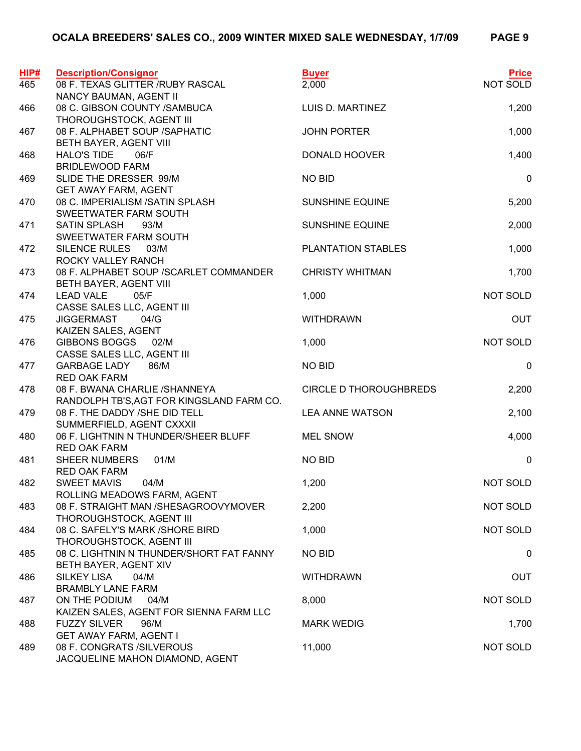| HIP#<br>465 | <b>Description/Consignor</b><br>08 F. TEXAS GLITTER / RUBY RASCAL          | <b>Buyer</b><br>2,000         | <b>Price</b><br>NOT SOLD |
|-------------|----------------------------------------------------------------------------|-------------------------------|--------------------------|
|             | NANCY BAUMAN, AGENT II                                                     |                               |                          |
| 466         | 08 C. GIBSON COUNTY /SAMBUCA<br>THOROUGHSTOCK, AGENT III                   | LUIS D. MARTINEZ              | 1,200                    |
| 467         | 08 F. ALPHABET SOUP / SAPHATIC<br>BETH BAYER, AGENT VIII                   | <b>JOHN PORTER</b>            | 1,000                    |
| 468         | <b>HALO'S TIDE</b><br>06/F<br><b>BRIDLEWOOD FARM</b>                       | DONALD HOOVER                 | 1,400                    |
| 469         | SLIDE THE DRESSER 99/M<br><b>GET AWAY FARM, AGENT</b>                      | <b>NO BID</b>                 | $\pmb{0}$                |
| 470         | 08 C. IMPERIALISM /SATIN SPLASH<br>SWEETWATER FARM SOUTH                   | <b>SUNSHINE EQUINE</b>        | 5,200                    |
| 471         | <b>SATIN SPLASH</b><br>93/M                                                | <b>SUNSHINE EQUINE</b>        | 2,000                    |
| 472         | SWEETWATER FARM SOUTH<br>SILENCE RULES<br>03/M                             | PLANTATION STABLES            | 1,000                    |
| 473         | ROCKY VALLEY RANCH<br>08 F. ALPHABET SOUP / SCARLET COMMANDER              | <b>CHRISTY WHITMAN</b>        | 1,700                    |
| 474         | BETH BAYER, AGENT VIII<br><b>LEAD VALE</b><br>05/F                         | 1,000                         | <b>NOT SOLD</b>          |
| 475         | CASSE SALES LLC, AGENT III<br><b>JIGGERMAST</b><br>04/G                    | <b>WITHDRAWN</b>              | <b>OUT</b>               |
| 476         | KAIZEN SALES, AGENT<br>GIBBONS BOGGS 02/M                                  | 1,000                         | NOT SOLD                 |
| 477         | CASSE SALES LLC, AGENT III<br><b>GARBAGE LADY</b><br>86/M                  | <b>NO BID</b>                 | $\mathbf 0$              |
| 478         | <b>RED OAK FARM</b><br>08 F. BWANA CHARLIE /SHANNEYA                       | <b>CIRCLE D THOROUGHBREDS</b> | 2,200                    |
| 479         | RANDOLPH TB'S, AGT FOR KINGSLAND FARM CO.<br>08 F. THE DADDY /SHE DID TELL | <b>LEA ANNE WATSON</b>        | 2,100                    |
| 480         | SUMMERFIELD, AGENT CXXXII<br>06 F. LIGHTNIN N THUNDER/SHEER BLUFF          | <b>MEL SNOW</b>               | 4,000                    |
| 481         | <b>RED OAK FARM</b><br>01/M<br><b>SHEER NUMBERS</b>                        | NO BID                        | $\mathbf 0$              |
| 482         | <b>RED OAK FARM</b><br><b>SWEET MAVIS</b><br>04/M                          | 1,200                         | NOT SOLD                 |
| 483         | ROLLING MEADOWS FARM, AGENT<br>08 F. STRAIGHT MAN / SHESAGROOVYMOVER       | 2,200                         | NOT SOLD                 |
| 484         | THOROUGHSTOCK, AGENT III<br>08 C. SAFELY'S MARK / SHORE BIRD               | 1,000                         | NOT SOLD                 |
|             | THOROUGHSTOCK, AGENT III<br>08 C. LIGHTNIN N THUNDER/SHORT FAT FANNY       | <b>NO BID</b>                 |                          |
| 485         | BETH BAYER, AGENT XIV                                                      |                               | 0                        |
| 486         | <b>SILKEY LISA</b><br>04/M<br><b>BRAMBLY LANE FARM</b>                     | <b>WITHDRAWN</b>              | <b>OUT</b>               |
| 487         | ON THE PODIUM<br>04/M<br>KAIZEN SALES, AGENT FOR SIENNA FARM LLC           | 8,000                         | NOT SOLD                 |
| 488         | <b>FUZZY SILVER</b><br>96/M<br><b>GET AWAY FARM, AGENT I</b>               | <b>MARK WEDIG</b>             | 1,700                    |
| 489         | 08 F. CONGRATS /SILVEROUS<br>JACQUELINE MAHON DIAMOND, AGENT               | 11,000                        | NOT SOLD                 |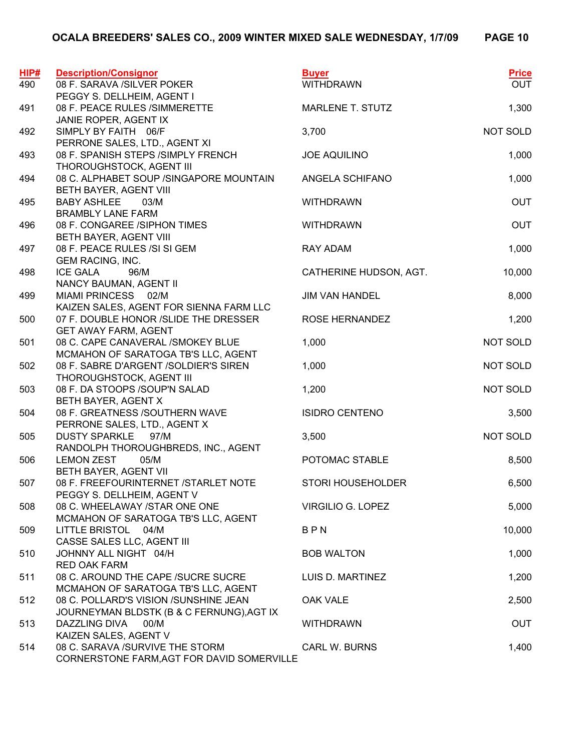| HIP# | <b>Description/Consignor</b>                                                 | <b>Buyer</b>             | <b>Price</b> |
|------|------------------------------------------------------------------------------|--------------------------|--------------|
| 490  | 08 F. SARAVA /SILVER POKER                                                   | <b>WITHDRAWN</b>         | <b>OUT</b>   |
|      | PEGGY S. DELLHEIM, AGENT I                                                   |                          |              |
| 491  | 08 F. PEACE RULES /SIMMERETTE                                                | <b>MARLENE T. STUTZ</b>  | 1,300        |
|      | JANIE ROPER, AGENT IX                                                        |                          |              |
| 492  | SIMPLY BY FAITH 06/F<br>PERRONE SALES, LTD., AGENT XI                        | 3,700                    | NOT SOLD     |
| 493  | 08 F. SPANISH STEPS /SIMPLY FRENCH                                           | <b>JOE AQUILINO</b>      | 1,000        |
|      | THOROUGHSTOCK, AGENT III                                                     |                          |              |
| 494  | 08 C. ALPHABET SOUP / SINGAPORE MOUNTAIN                                     | ANGELA SCHIFANO          | 1,000        |
|      | BETH BAYER, AGENT VIII                                                       |                          |              |
| 495  | <b>BABY ASHLEE</b><br>03/M                                                   | <b>WITHDRAWN</b>         | <b>OUT</b>   |
|      | <b>BRAMBLY LANE FARM</b>                                                     |                          |              |
| 496  | 08 F. CONGAREE /SIPHON TIMES                                                 | <b>WITHDRAWN</b>         | <b>OUT</b>   |
|      | BETH BAYER, AGENT VIII                                                       |                          |              |
| 497  | 08 F. PEACE RULES /SI SI GEM                                                 | <b>RAY ADAM</b>          | 1,000        |
| 498  | <b>GEM RACING, INC.</b><br><b>ICE GALA</b><br>96/M                           | CATHERINE HUDSON, AGT.   | 10,000       |
|      | NANCY BAUMAN, AGENT II                                                       |                          |              |
| 499  | MIAMI PRINCESS 02/M                                                          | <b>JIM VAN HANDEL</b>    | 8,000        |
|      | KAIZEN SALES, AGENT FOR SIENNA FARM LLC                                      |                          |              |
| 500  | 07 F. DOUBLE HONOR /SLIDE THE DRESSER                                        | ROSE HERNANDEZ           | 1,200        |
|      | <b>GET AWAY FARM, AGENT</b>                                                  |                          |              |
| 501  | 08 C. CAPE CANAVERAL /SMOKEY BLUE                                            | 1,000                    | NOT SOLD     |
|      | MCMAHON OF SARATOGA TB'S LLC, AGENT                                          |                          |              |
| 502  | 08 F. SABRE D'ARGENT /SOLDIER'S SIREN                                        | 1,000                    | NOT SOLD     |
| 503  | THOROUGHSTOCK, AGENT III<br>08 F. DA STOOPS /SOUP'N SALAD                    | 1,200                    | NOT SOLD     |
|      | BETH BAYER, AGENT X                                                          |                          |              |
| 504  | 08 F. GREATNESS /SOUTHERN WAVE                                               | <b>ISIDRO CENTENO</b>    | 3,500        |
|      | PERRONE SALES, LTD., AGENT X                                                 |                          |              |
| 505  | <b>DUSTY SPARKLE</b><br>97/M                                                 | 3,500                    | NOT SOLD     |
|      | RANDOLPH THOROUGHBREDS, INC., AGENT                                          |                          |              |
| 506  | 05/M<br><b>LEMON ZEST</b>                                                    | POTOMAC STABLE           | 8,500        |
|      | BETH BAYER, AGENT VII                                                        |                          |              |
| 507  | 08 F. FREEFOURINTERNET /STARLET NOTE<br>PEGGY S. DELLHEIM, AGENT V           | <b>STORI HOUSEHOLDER</b> | 6,500        |
| 508  | 08 C. WHEELAWAY /STAR ONE ONE                                                | VIRGILIO G. LOPEZ        | 5,000        |
|      | MCMAHON OF SARATOGA TB'S LLC, AGENT                                          |                          |              |
| 509  | LITTLE BRISTOL 04/M                                                          | BPN                      | 10,000       |
|      | CASSE SALES LLC, AGENT III                                                   |                          |              |
| 510  | JOHNNY ALL NIGHT 04/H                                                        | <b>BOB WALTON</b>        | 1,000        |
|      | <b>RED OAK FARM</b>                                                          |                          |              |
| 511  | 08 C. AROUND THE CAPE /SUCRE SUCRE                                           | LUIS D. MARTINEZ         | 1,200        |
| 512  | MCMAHON OF SARATOGA TB'S LLC, AGENT<br>08 C. POLLARD'S VISION /SUNSHINE JEAN | <b>OAK VALE</b>          | 2,500        |
|      | JOURNEYMAN BLDSTK (B & C FERNUNG), AGT IX                                    |                          |              |
| 513  | DAZZLING DIVA<br>00/M                                                        | <b>WITHDRAWN</b>         | <b>OUT</b>   |
|      | KAIZEN SALES, AGENT V                                                        |                          |              |
| 514  | 08 C. SARAVA / SURVIVE THE STORM                                             | <b>CARL W. BURNS</b>     | 1,400        |
|      | CORNERSTONE FARM, AGT FOR DAVID SOMERVILLE                                   |                          |              |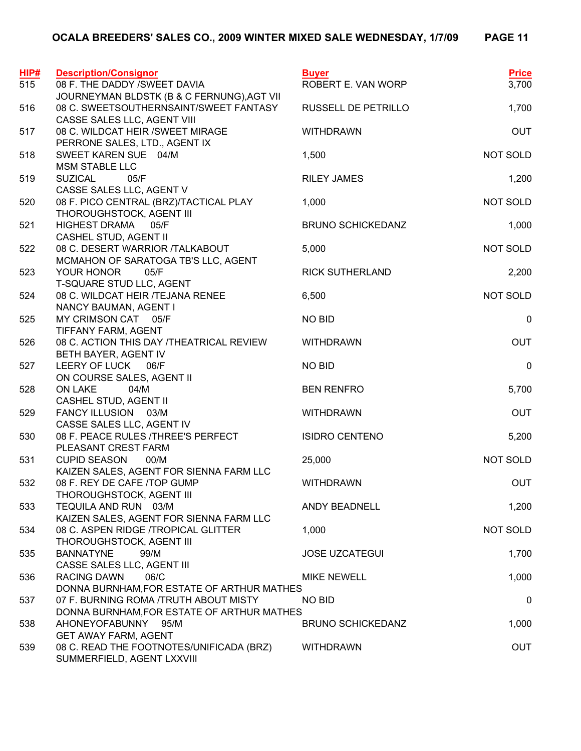| HIP# | <b>Description/Consignor</b>                                           | <b>Buyer</b>             | <b>Price</b> |
|------|------------------------------------------------------------------------|--------------------------|--------------|
| 515  | 08 F. THE DADDY /SWEET DAVIA                                           | ROBERT E. VAN WORP       | 3,700        |
|      | JOURNEYMAN BLDSTK (B & C FERNUNG), AGT VII                             |                          |              |
| 516  | 08 C. SWEETSOUTHERNSAINT/SWEET FANTASY                                 | RUSSELL DE PETRILLO      | 1,700        |
|      | CASSE SALES LLC, AGENT VIII                                            |                          |              |
| 517  | 08 C. WILDCAT HEIR / SWEET MIRAGE<br>PERRONE SALES, LTD., AGENT IX     | <b>WITHDRAWN</b>         | <b>OUT</b>   |
| 518  | SWEET KAREN SUE 04/M                                                   | 1,500                    | NOT SOLD     |
|      | <b>MSM STABLE LLC</b>                                                  |                          |              |
| 519  | <b>SUZICAL</b><br>05/F                                                 | <b>RILEY JAMES</b>       | 1,200        |
|      | CASSE SALES LLC, AGENT V                                               |                          |              |
| 520  | 08 F. PICO CENTRAL (BRZ)/TACTICAL PLAY                                 | 1,000                    | NOT SOLD     |
|      | THOROUGHSTOCK, AGENT III                                               |                          |              |
| 521  | <b>HIGHEST DRAMA</b><br>05/F                                           | <b>BRUNO SCHICKEDANZ</b> | 1,000        |
| 522  | CASHEL STUD, AGENT II<br>08 C. DESERT WARRIOR /TALKABOUT               | 5,000                    | NOT SOLD     |
|      | MCMAHON OF SARATOGA TB'S LLC, AGENT                                    |                          |              |
| 523  | YOUR HONOR<br>05/F                                                     | <b>RICK SUTHERLAND</b>   | 2,200        |
|      | T-SQUARE STUD LLC, AGENT                                               |                          |              |
| 524  | 08 C. WILDCAT HEIR /TEJANA RENEE                                       | 6,500                    | NOT SOLD     |
|      | NANCY BAUMAN, AGENT I                                                  |                          |              |
| 525  | MY CRIMSON CAT 05/F                                                    | <b>NO BID</b>            | 0            |
|      | TIFFANY FARM, AGENT                                                    |                          |              |
| 526  | 08 C. ACTION THIS DAY /THEATRICAL REVIEW                               | <b>WITHDRAWN</b>         | <b>OUT</b>   |
| 527  | BETH BAYER, AGENT IV<br>LEERY OF LUCK 06/F                             | <b>NO BID</b>            | $\mathbf 0$  |
|      | ON COURSE SALES, AGENT II                                              |                          |              |
| 528  | <b>ON LAKE</b><br>04/M                                                 | <b>BEN RENFRO</b>        | 5,700        |
|      | CASHEL STUD, AGENT II                                                  |                          |              |
| 529  | FANCY ILLUSION 03/M                                                    | <b>WITHDRAWN</b>         | <b>OUT</b>   |
|      | CASSE SALES LLC, AGENT IV                                              |                          |              |
| 530  | 08 F. PEACE RULES / THREE'S PERFECT                                    | <b>ISIDRO CENTENO</b>    | 5,200        |
| 531  | PLEASANT CREST FARM<br>00/M<br><b>CUPID SEASON</b>                     | 25,000                   | NOT SOLD     |
|      | KAIZEN SALES, AGENT FOR SIENNA FARM LLC                                |                          |              |
| 532  | 08 F. REY DE CAFE /TOP GUMP                                            | <b>WITHDRAWN</b>         | <b>OUT</b>   |
|      | THOROUGHSTOCK, AGENT III                                               |                          |              |
| 533  | TEQUILA AND RUN 03/M                                                   | <b>ANDY BEADNELL</b>     | 1,200        |
|      | KAIZEN SALES, AGENT FOR SIENNA FARM LLC                                |                          |              |
| 534  | 08 C. ASPEN RIDGE /TROPICAL GLITTER                                    | 1,000                    | NOT SOLD     |
|      | THOROUGHSTOCK, AGENT III                                               |                          |              |
| 535  | <b>BANNATYNE</b><br>99/M<br>CASSE SALES LLC, AGENT III                 | <b>JOSE UZCATEGUI</b>    | 1,700        |
| 536  | <b>RACING DAWN</b><br>06/C                                             | <b>MIKE NEWELL</b>       | 1,000        |
|      | DONNA BURNHAM, FOR ESTATE OF ARTHUR MATHES                             |                          |              |
| 537  | 07 F. BURNING ROMA /TRUTH ABOUT MISTY                                  | <b>NO BID</b>            | 0            |
|      | DONNA BURNHAM, FOR ESTATE OF ARTHUR MATHES                             |                          |              |
| 538  | AHONEYOFABUNNY 95/M                                                    | <b>BRUNO SCHICKEDANZ</b> | 1,000        |
|      | <b>GET AWAY FARM, AGENT</b>                                            |                          |              |
| 539  | 08 C. READ THE FOOTNOTES/UNIFICADA (BRZ)<br>SUMMERFIELD, AGENT LXXVIII | <b>WITHDRAWN</b>         | <b>OUT</b>   |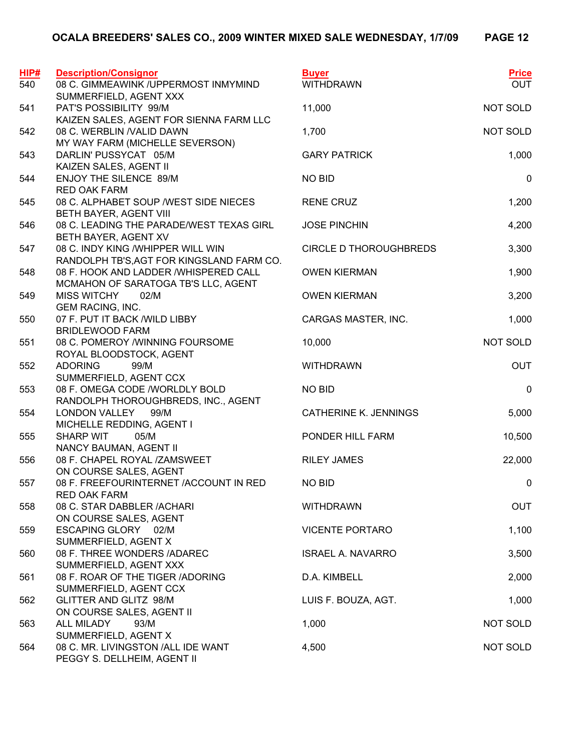| <b>HIP#</b> | <b>Description/Consignor</b>                                      | <b>Buyer</b>                  | <b>Price</b>     |
|-------------|-------------------------------------------------------------------|-------------------------------|------------------|
| 540         | 08 C. GIMMEAWINK /UPPERMOST INMYMIND                              | <b>WITHDRAWN</b>              | <b>OUT</b>       |
|             | SUMMERFIELD, AGENT XXX                                            |                               |                  |
| 541         | PAT'S POSSIBILITY 99/M                                            | 11,000                        | NOT SOLD         |
|             | KAIZEN SALES, AGENT FOR SIENNA FARM LLC                           |                               |                  |
| 542         | 08 C. WERBLIN / VALID DAWN                                        | 1,700                         | NOT SOLD         |
|             | MY WAY FARM (MICHELLE SEVERSON)                                   |                               |                  |
| 543         | DARLIN' PUSSYCAT 05/M                                             | <b>GARY PATRICK</b>           | 1,000            |
| 544         | KAIZEN SALES, AGENT II<br>ENJOY THE SILENCE 89/M                  | <b>NO BID</b>                 | $\mathbf 0$      |
|             | <b>RED OAK FARM</b>                                               |                               |                  |
| 545         | 08 C. ALPHABET SOUP / WEST SIDE NIECES                            | <b>RENE CRUZ</b>              | 1,200            |
|             | BETH BAYER, AGENT VIII                                            |                               |                  |
| 546         | 08 C. LEADING THE PARADE/WEST TEXAS GIRL                          | <b>JOSE PINCHIN</b>           | 4,200            |
|             | BETH BAYER, AGENT XV                                              |                               |                  |
| 547         | 08 C. INDY KING /WHIPPER WILL WIN                                 | <b>CIRCLE D THOROUGHBREDS</b> | 3,300            |
|             | RANDOLPH TB'S, AGT FOR KINGSLAND FARM CO.                         |                               |                  |
| 548         | 08 F. HOOK AND LADDER /WHISPERED CALL                             | <b>OWEN KIERMAN</b>           | 1,900            |
|             | MCMAHON OF SARATOGA TB'S LLC, AGENT                               |                               |                  |
| 549         | <b>MISS WITCHY</b><br>02/M                                        | <b>OWEN KIERMAN</b>           | 3,200            |
|             | <b>GEM RACING, INC.</b>                                           |                               |                  |
| 550         | 07 F. PUT IT BACK / WILD LIBBY                                    | CARGAS MASTER, INC.           | 1,000            |
|             | <b>BRIDLEWOOD FARM</b><br>08 C. POMEROY /WINNING FOURSOME         |                               | NOT SOLD         |
| 551         | ROYAL BLOODSTOCK, AGENT                                           | 10,000                        |                  |
| 552         | <b>ADORING</b><br>99/M                                            | <b>WITHDRAWN</b>              | <b>OUT</b>       |
|             | SUMMERFIELD, AGENT CCX                                            |                               |                  |
| 553         | 08 F. OMEGA CODE /WORLDLY BOLD                                    | <b>NO BID</b>                 | $\pmb{0}$        |
|             | RANDOLPH THOROUGHBREDS, INC., AGENT                               |                               |                  |
| 554         | LONDON VALLEY<br>99/M                                             | <b>CATHERINE K. JENNINGS</b>  | 5,000            |
|             | MICHELLE REDDING, AGENT I                                         |                               |                  |
| 555         | <b>SHARP WIT</b><br>05/M                                          | PONDER HILL FARM              | 10,500           |
|             | NANCY BAUMAN, AGENT II                                            |                               |                  |
| 556         | 08 F. CHAPEL ROYAL /ZAMSWEET                                      | <b>RILEY JAMES</b>            | 22,000           |
|             | ON COURSE SALES, AGENT                                            |                               |                  |
| 557         | 08 F. FREEFOURINTERNET /ACCOUNT IN RED                            | <b>NO BID</b>                 | $\boldsymbol{0}$ |
| 558         | <b>RED OAK FARM</b><br>08 C. STAR DABBLER / ACHARI                | <b>WITHDRAWN</b>              | <b>OUT</b>       |
|             | ON COURSE SALES, AGENT                                            |                               |                  |
| 559         | ESCAPING GLORY 02/M                                               | <b>VICENTE PORTARO</b>        | 1,100            |
|             | SUMMERFIELD, AGENT X                                              |                               |                  |
| 560         | 08 F. THREE WONDERS /ADAREC                                       | <b>ISRAEL A. NAVARRO</b>      | 3,500            |
|             | SUMMERFIELD, AGENT XXX                                            |                               |                  |
| 561         | 08 F. ROAR OF THE TIGER /ADORING                                  | D.A. KIMBELL                  | 2,000            |
|             | SUMMERFIELD, AGENT CCX                                            |                               |                  |
| 562         | GLITTER AND GLITZ 98/M                                            | LUIS F. BOUZA, AGT.           | 1,000            |
|             | ON COURSE SALES, AGENT II                                         |                               |                  |
| 563         | <b>ALL MILADY</b><br>93/M                                         | 1,000                         | NOT SOLD         |
|             | SUMMERFIELD, AGENT X                                              |                               |                  |
| 564         | 08 C. MR. LIVINGSTON /ALL IDE WANT<br>PEGGY S. DELLHEIM, AGENT II | 4,500                         | NOT SOLD         |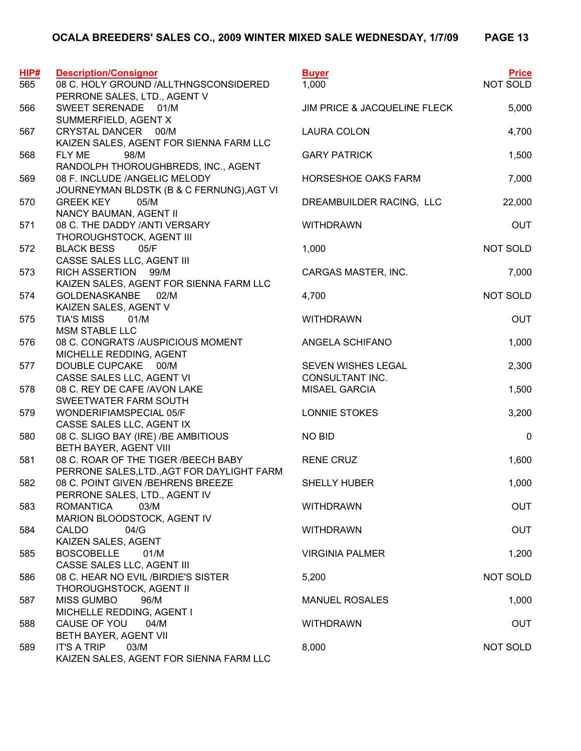| HIP# | <b>Description/Consignor</b>                                   | <b>Buyer</b>                 | <b>Price</b> |
|------|----------------------------------------------------------------|------------------------------|--------------|
| 565  | 08 C. HOLY GROUND /ALLTHNGSCONSIDERED                          | 1,000                        | NOT SOLD     |
|      | PERRONE SALES, LTD., AGENT V                                   |                              |              |
| 566  | SWEET SERENADE 01/M                                            | JIM PRICE & JACQUELINE FLECK | 5,000        |
|      | SUMMERFIELD, AGENT X                                           |                              |              |
| 567  | CRYSTAL DANCER 00/M<br>KAIZEN SALES, AGENT FOR SIENNA FARM LLC | <b>LAURA COLON</b>           | 4,700        |
| 568  | 98/M<br>FLY ME                                                 | <b>GARY PATRICK</b>          | 1,500        |
|      | RANDOLPH THOROUGHBREDS, INC., AGENT                            |                              |              |
| 569  | 08 F. INCLUDE /ANGELIC MELODY                                  | HORSESHOE OAKS FARM          | 7,000        |
|      | JOURNEYMAN BLDSTK (B & C FERNUNG), AGT VI                      |                              |              |
| 570  | <b>GREEK KEY</b><br>05/M                                       | DREAMBUILDER RACING, LLC     | 22,000       |
|      | NANCY BAUMAN, AGENT II                                         |                              |              |
| 571  | 08 C. THE DADDY /ANTI VERSARY                                  | <b>WITHDRAWN</b>             | <b>OUT</b>   |
| 572  | THOROUGHSTOCK, AGENT III<br><b>BLACK BESS</b><br>05/F          | 1,000                        | NOT SOLD     |
|      | CASSE SALES LLC, AGENT III                                     |                              |              |
| 573  | RICH ASSERTION 99/M                                            | CARGAS MASTER, INC.          | 7,000        |
|      | KAIZEN SALES, AGENT FOR SIENNA FARM LLC                        |                              |              |
| 574  | <b>GOLDENASKANBE</b><br>02/M                                   | 4,700                        | NOT SOLD     |
|      | KAIZEN SALES, AGENT V                                          |                              |              |
| 575  | 01/M<br><b>TIA'S MISS</b>                                      | <b>WITHDRAWN</b>             | <b>OUT</b>   |
|      | <b>MSM STABLE LLC</b>                                          |                              |              |
| 576  | 08 C. CONGRATS /AUSPICIOUS MOMENT<br>MICHELLE REDDING, AGENT   | ANGELA SCHIFANO              | 1,000        |
| 577  | DOUBLE CUPCAKE<br>00/M                                         | SEVEN WISHES LEGAL           | 2,300        |
|      | CASSE SALES LLC, AGENT VI                                      | CONSULTANT INC.              |              |
| 578  | 08 C. REY DE CAFE /AVON LAKE                                   | <b>MISAEL GARCIA</b>         | 1,500        |
|      | SWEETWATER FARM SOUTH                                          |                              |              |
| 579  | WONDERIFIAMSPECIAL 05/F                                        | LONNIE STOKES                | 3,200        |
|      | CASSE SALES LLC, AGENT IX                                      |                              |              |
| 580  | 08 C. SLIGO BAY (IRE) / BE AMBITIOUS                           | <b>NO BID</b>                | 0            |
| 581  | BETH BAYER, AGENT VIII<br>08 C. ROAR OF THE TIGER / BEECH BABY | <b>RENE CRUZ</b>             | 1,600        |
|      | PERRONE SALES, LTD., AGT FOR DAYLIGHT FARM                     |                              |              |
| 582  | 08 C. POINT GIVEN / BEHRENS BREEZE                             | <b>SHELLY HUBER</b>          | 1,000        |
|      | PERRONE SALES, LTD., AGENT IV                                  |                              |              |
| 583  | <b>ROMANTICA</b><br>03/M                                       | <b>WITHDRAWN</b>             | <b>OUT</b>   |
|      | MARION BLOODSTOCK, AGENT IV                                    |                              |              |
| 584  | CALDO<br>04/G                                                  | <b>WITHDRAWN</b>             | <b>OUT</b>   |
|      | KAIZEN SALES, AGENT                                            |                              |              |
| 585  | <b>BOSCOBELLE</b><br>01/M<br>CASSE SALES LLC, AGENT III        | <b>VIRGINIA PALMER</b>       | 1,200        |
| 586  | 08 C. HEAR NO EVIL / BIRDIE'S SISTER                           | 5,200                        | NOT SOLD     |
|      | THOROUGHSTOCK, AGENT II                                        |                              |              |
| 587  | <b>MISS GUMBO</b><br>96/M                                      | <b>MANUEL ROSALES</b>        | 1,000        |
|      | MICHELLE REDDING, AGENT I                                      |                              |              |
| 588  | CAUSE OF YOU<br>04/M                                           | <b>WITHDRAWN</b>             | <b>OUT</b>   |
|      | BETH BAYER, AGENT VII                                          |                              |              |
| 589  | <b>IT'S A TRIP</b><br>03/M                                     | 8,000                        | NOT SOLD     |
|      | KAIZEN SALES, AGENT FOR SIENNA FARM LLC                        |                              |              |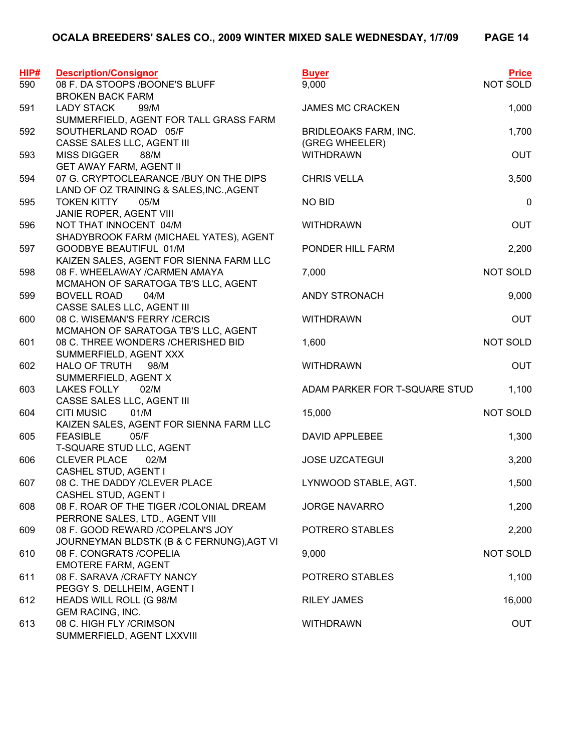| HIP# | <b>Description/Consignor</b>                             | <b>Buyer</b>                       | <b>Price</b> |
|------|----------------------------------------------------------|------------------------------------|--------------|
| 590  | 08 F. DA STOOPS / BOONE'S BLUFF                          | 9,000                              | NOT SOLD     |
|      | <b>BROKEN BACK FARM</b>                                  |                                    |              |
| 591  | <b>LADY STACK</b><br>99/M                                | <b>JAMES MC CRACKEN</b>            | 1,000        |
|      | SUMMERFIELD, AGENT FOR TALL GRASS FARM                   |                                    |              |
| 592  | SOUTHERLAND ROAD 05/F                                    | <b>BRIDLEOAKS FARM, INC.</b>       | 1,700        |
| 593  | CASSE SALES LLC, AGENT III<br><b>MISS DIGGER</b><br>88/M | (GREG WHEELER)<br><b>WITHDRAWN</b> | <b>OUT</b>   |
|      | <b>GET AWAY FARM, AGENT II</b>                           |                                    |              |
| 594  | 07 G. CRYPTOCLEARANCE /BUY ON THE DIPS                   | <b>CHRIS VELLA</b>                 | 3,500        |
|      | LAND OF OZ TRAINING & SALES, INC., AGENT                 |                                    |              |
| 595  | <b>TOKEN KITTY</b><br>05/M                               | <b>NO BID</b>                      | $\mathbf 0$  |
|      | JANIE ROPER, AGENT VIII                                  |                                    |              |
| 596  | NOT THAT INNOCENT 04/M                                   | <b>WITHDRAWN</b>                   | <b>OUT</b>   |
|      | SHADYBROOK FARM (MICHAEL YATES), AGENT                   |                                    |              |
| 597  | GOODBYE BEAUTIFUL 01/M                                   | PONDER HILL FARM                   | 2,200        |
|      | KAIZEN SALES, AGENT FOR SIENNA FARM LLC                  |                                    |              |
| 598  | 08 F. WHEELAWAY / CARMEN AMAYA                           | 7,000                              | NOT SOLD     |
|      | MCMAHON OF SARATOGA TB'S LLC, AGENT                      |                                    |              |
| 599  | <b>BOVELL ROAD</b><br>04/M                               | ANDY STRONACH                      | 9,000        |
|      | CASSE SALES LLC, AGENT III                               |                                    |              |
| 600  | 08 C. WISEMAN'S FERRY /CERCIS                            | <b>WITHDRAWN</b>                   | <b>OUT</b>   |
|      | MCMAHON OF SARATOGA TB'S LLC, AGENT                      |                                    |              |
| 601  | 08 C. THREE WONDERS / CHERISHED BID                      | 1,600                              | NOT SOLD     |
|      | SUMMERFIELD, AGENT XXX                                   |                                    |              |
| 602  | <b>HALO OF TRUTH</b><br>98/M                             | <b>WITHDRAWN</b>                   | <b>OUT</b>   |
|      | SUMMERFIELD, AGENT X                                     |                                    |              |
| 603  | LAKES FOLLY<br>02/M                                      | ADAM PARKER FOR T-SQUARE STUD      | 1,100        |
| 604  | CASSE SALES LLC, AGENT III<br><b>CITI MUSIC</b><br>01/M  | 15,000                             | NOT SOLD     |
|      | KAIZEN SALES, AGENT FOR SIENNA FARM LLC                  |                                    |              |
| 605  | <b>FEASIBLE</b><br>05/F                                  | <b>DAVID APPLEBEE</b>              | 1,300        |
|      | T-SQUARE STUD LLC, AGENT                                 |                                    |              |
| 606  | <b>CLEVER PLACE</b><br>02/M                              | <b>JOSE UZCATEGUI</b>              | 3,200        |
|      | CASHEL STUD, AGENT I                                     |                                    |              |
| 607  | 08 C. THE DADDY /CLEVER PLACE                            | LYNWOOD STABLE, AGT.               | 1,500        |
|      | CASHEL STUD, AGENT I                                     |                                    |              |
| 608  | 08 F. ROAR OF THE TIGER / COLONIAL DREAM                 | <b>JORGE NAVARRO</b>               | 1,200        |
|      | PERRONE SALES, LTD., AGENT VIII                          |                                    |              |
| 609  | 08 F. GOOD REWARD / COPELAN'S JOY                        | POTRERO STABLES                    | 2,200        |
|      | JOURNEYMAN BLDSTK (B & C FERNUNG), AGT VI                |                                    |              |
| 610  | 08 F. CONGRATS / COPELIA                                 | 9,000                              | NOT SOLD     |
|      | <b>EMOTERE FARM, AGENT</b>                               |                                    |              |
| 611  | 08 F. SARAVA / CRAFTY NANCY                              | POTRERO STABLES                    | 1,100        |
|      | PEGGY S. DELLHEIM, AGENT I                               |                                    |              |
| 612  | HEADS WILL ROLL (G 98/M                                  | <b>RILEY JAMES</b>                 | 16,000       |
| 613  | <b>GEM RACING, INC.</b><br>08 C. HIGH FLY /CRIMSON       |                                    |              |
|      | SUMMERFIELD, AGENT LXXVIII                               | <b>WITHDRAWN</b>                   | <b>OUT</b>   |
|      |                                                          |                                    |              |